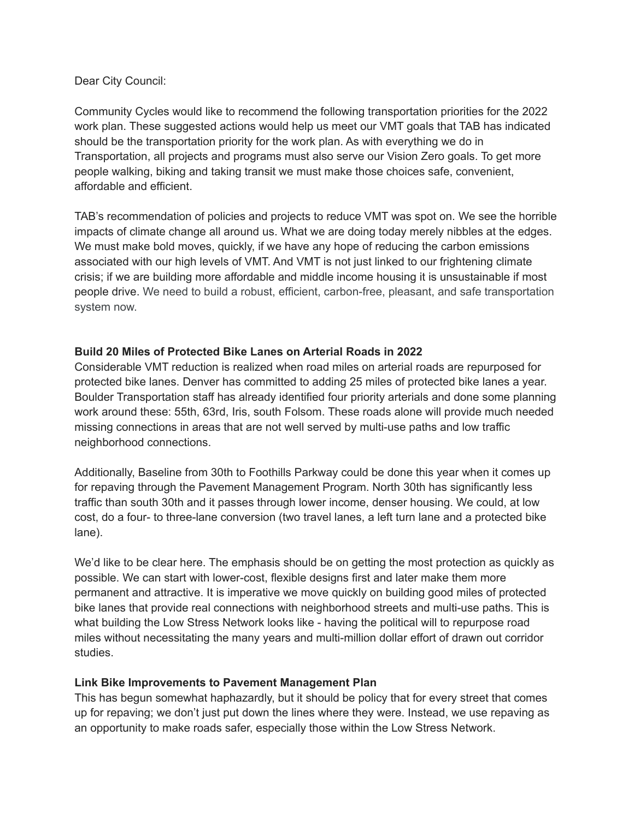## Dear City Council:

Community Cycles would like to recommend the following transportation priorities for the 2022 work plan. These suggested actions would help us meet our VMT goals that TAB has indicated should be the transportation priority for the work plan. As with everything we do in Transportation, all projects and programs must also serve our Vision Zero goals. To get more people walking, biking and taking transit we must make those choices safe, convenient, affordable and efficient.

TAB's recommendation of policies and projects to reduce VMT was spot on. We see the horrible impacts of climate change all around us. What we are doing today merely nibbles at the edges. We must make bold moves, quickly, if we have any hope of reducing the carbon emissions associated with our high levels of VMT. And VMT is not just linked to our frightening climate crisis; if we are building more affordable and middle income housing it is unsustainable if most people drive. We need to build a robust, efficient, carbon-free, pleasant, and safe transportation system now.

# **Build 20 Miles of Protected Bike Lanes on Arterial Roads in 2022**

Considerable VMT reduction is realized when road miles on arterial roads are repurposed for protected bike lanes. Denver has committed to adding 25 miles of protected bike lanes a year. Boulder Transportation staff has already identified four priority arterials and done some planning work around these: 55th, 63rd, Iris, south Folsom. These roads alone will provide much needed missing connections in areas that are not well served by multi-use paths and low traffic neighborhood connections.

Additionally, Baseline from 30th to Foothills Parkway could be done this year when it comes up for repaving through the Pavement Management Program. North 30th has significantly less traffic than south 30th and it passes through lower income, denser housing. We could, at low cost, do a four- to three-lane conversion (two travel lanes, a left turn lane and a protected bike lane).

We'd like to be clear here. The emphasis should be on getting the most protection as quickly as possible. We can start with lower-cost, flexible designs first and later make them more permanent and attractive. It is imperative we move quickly on building good miles of protected bike lanes that provide real connections with neighborhood streets and multi-use paths. This is what building the Low Stress Network looks like - having the political will to repurpose road miles without necessitating the many years and multi-million dollar effort of drawn out corridor studies.

# **Link Bike Improvements to Pavement Management Plan**

This has begun somewhat haphazardly, but it should be policy that for every street that comes up for repaving; we don't just put down the lines where they were. Instead, we use repaving as an opportunity to make roads safer, especially those within the Low Stress Network.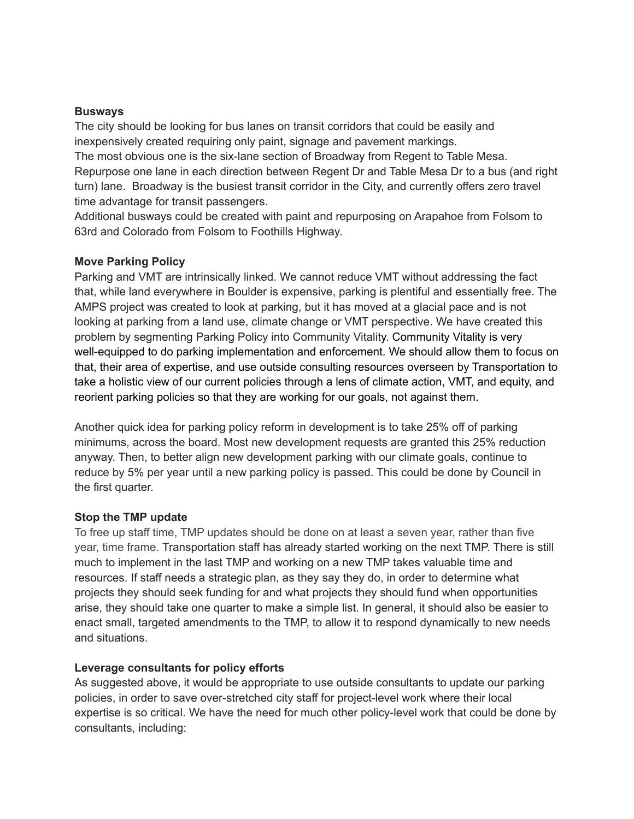## **Busways**

The city should be looking for bus lanes on transit corridors that could be easily and inexpensively created requiring only paint, signage and pavement markings.

The most obvious one is the six-lane section of Broadway from Regent to Table Mesa. Repurpose one lane in each direction between Regent Dr and Table Mesa Dr to a bus (and right turn) lane. Broadway is the busiest transit corridor in the City, and currently offers zero travel time advantage for transit passengers.

Additional busways could be created with paint and repurposing on Arapahoe from Folsom to 63rd and Colorado from Folsom to Foothills Highway.

### **Move Parking Policy**

Parking and VMT are intrinsically linked. We cannot reduce VMT without addressing the fact that, while land everywhere in Boulder is expensive, parking is plentiful and essentially free. The AMPS project was created to look at parking, but it has moved at a glacial pace and is not looking at parking from a land use, climate change or VMT perspective. We have created this problem by segmenting Parking Policy into Community Vitality. Community Vitality is very well-equipped to do parking implementation and enforcement. We should allow them to focus on that, their area of expertise, and use outside consulting resources overseen by Transportation to take a holistic view of our current policies through a lens of climate action, VMT, and equity, and reorient parking policies so that they are working for our goals, not against them.

Another quick idea for parking policy reform in development is to take 25% off of parking minimums, across the board. Most new development requests are granted this 25% reduction anyway. Then, to better align new development parking with our climate goals, continue to reduce by 5% per year until a new parking policy is passed. This could be done by Council in the first quarter.

#### **Stop the TMP update**

To free up staff time, TMP updates should be done on at least a seven year, rather than five year, time frame. Transportation staff has already started working on the next TMP. There is still much to implement in the last TMP and working on a new TMP takes valuable time and resources. If staff needs a strategic plan, as they say they do, in order to determine what projects they should seek funding for and what projects they should fund when opportunities arise, they should take one quarter to make a simple list. In general, it should also be easier to enact small, targeted amendments to the TMP, to allow it to respond dynamically to new needs and situations.

#### **Leverage consultants for policy efforts**

As suggested above, it would be appropriate to use outside consultants to update our parking policies, in order to save over-stretched city staff for project-level work where their local expertise is so critical. We have the need for much other policy-level work that could be done by consultants, including: